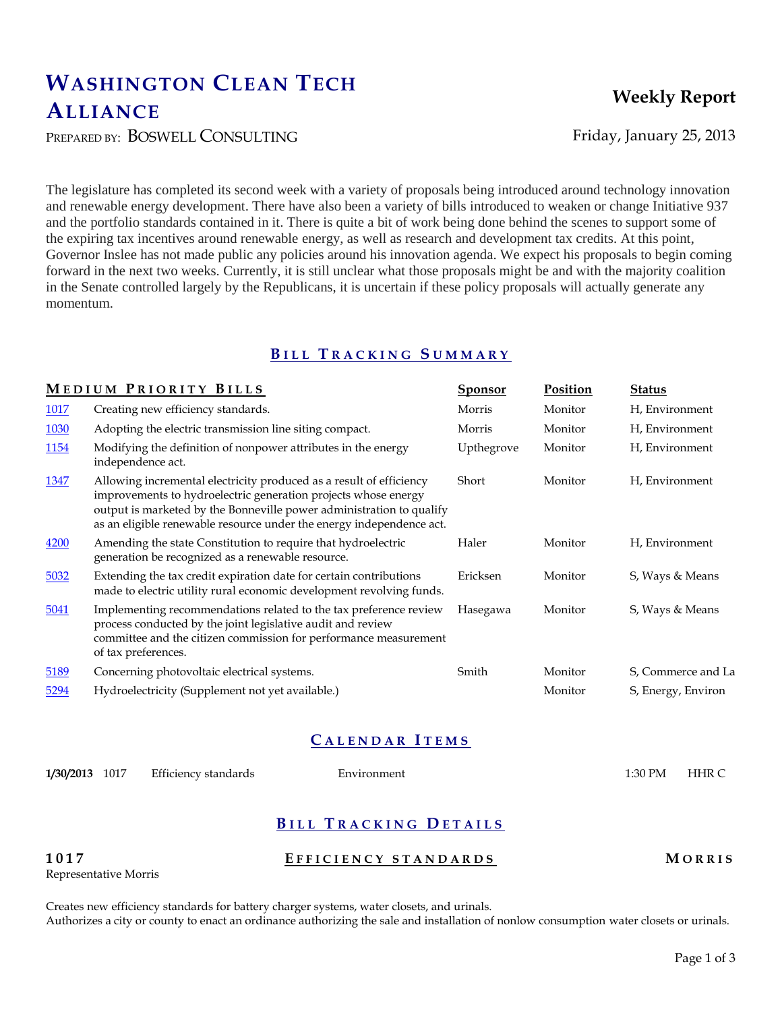# **WASHINGTON CLEAN TECH ALLIANCE**

PREPARED BY: BOSWELL CONSULTING Friday, January 25, 2013

The legislature has completed its second week with a variety of proposals being introduced around technology innovation and renewable energy development. There have also been a variety of bills introduced to weaken or change Initiative 937 and the portfolio standards contained in it. There is quite a bit of work being done behind the scenes to support some of the expiring tax incentives around renewable energy, as well as research and development tax credits. At this point, Governor Inslee has not made public any policies around his innovation agenda. We expect his proposals to begin coming forward in the next two weeks. Currently, it is still unclear what those proposals might be and with the majority coalition in the Senate controlled largely by the Republicans, it is uncertain if these policy proposals will actually generate any momentum.

## **B I L L T R A C K I N G S U M M A R Y**

|             | MEDIUM PRIORITY BILLS                                                                                                                                                                                                                                                                 | <b>Sponsor</b> | Position | <b>Status</b>      |
|-------------|---------------------------------------------------------------------------------------------------------------------------------------------------------------------------------------------------------------------------------------------------------------------------------------|----------------|----------|--------------------|
| 1017        | Creating new efficiency standards.                                                                                                                                                                                                                                                    | Morris         | Monitor  | H, Environment     |
| <b>1030</b> | Adopting the electric transmission line siting compact.                                                                                                                                                                                                                               | Morris         | Monitor  | H, Environment     |
| 1154        | Modifying the definition of nonpower attributes in the energy<br>independence act.                                                                                                                                                                                                    | Upthegrove     | Monitor  | H, Environment     |
| <u>1347</u> | Allowing incremental electricity produced as a result of efficiency<br>improvements to hydroelectric generation projects whose energy<br>output is marketed by the Bonneville power administration to qualify<br>as an eligible renewable resource under the energy independence act. | Short          | Monitor  | H, Environment     |
| 4200        | Amending the state Constitution to require that hydroelectric<br>generation be recognized as a renewable resource.                                                                                                                                                                    | Haler          | Monitor  | H, Environment     |
| 5032        | Extending the tax credit expiration date for certain contributions<br>made to electric utility rural economic development revolving funds.                                                                                                                                            | Ericksen       | Monitor  | S, Ways & Means    |
| 5041        | Implementing recommendations related to the tax preference review<br>process conducted by the joint legislative audit and review<br>committee and the citizen commission for performance measurement<br>of tax preferences.                                                           | Hasegawa       | Monitor  | S, Ways & Means    |
| 5189        | Concerning photovoltaic electrical systems.                                                                                                                                                                                                                                           | Smith          | Monitor  | S, Commerce and La |
| 5294        | Hydroelectricity (Supplement not yet available.)                                                                                                                                                                                                                                      |                | Monitor  | S, Energy, Environ |

## **C A L E N D A R I T E M S**

**1/30/2013** 1017 Efficiency standards Environment 1:30 PM HHR C

## **B I L L T R A C K I N G D E T A I L S**

**1017 E F F I C I E N C Y S T A N D A R D S M O R R I S** Representative Morris

Creates new efficiency standards for battery charger systems, water closets, and urinals. Authorizes a city or county to enact an ordinance authorizing the sale and installation of nonlow consumption water closets or urinals.

## **Weekly Report**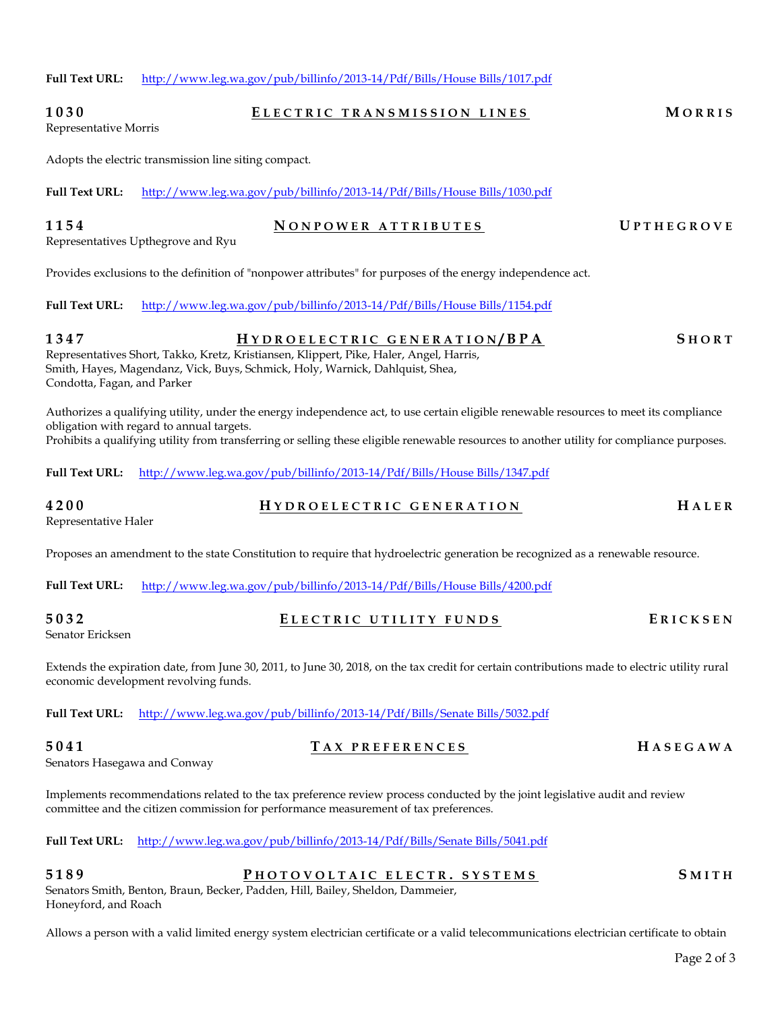## **1030 E L E C T R I C T R A N S M I S S I O N L I N E S M O R R I S** Representative Morris Adopts the electric transmission line siting compact.

**Full Text URL:** [http://www.leg.wa.gov/pub/billinfo/2013-14/Pdf/Bills/House Bills/1030.pdf](http://www.leg.wa.gov/pub/billinfo/2013-14/Pdf/Bills/House%20Bills/1030.pdf)

**Full Text URL:** [http://www.leg.wa.gov/pub/billinfo/2013-14/Pdf/Bills/House Bills/1017.pdf](http://www.leg.wa.gov/pub/billinfo/2013-14/Pdf/Bills/House%20Bills/1017.pdf)

## **1154 N O N P O W E R A T T R I B U T E S U P T H E G R O V E**

Representatives Upthegrove and Ryu

Provides exclusions to the definition of "nonpower attributes" for purposes of the energy independence act.

**Full Text URL:** [http://www.leg.wa.gov/pub/billinfo/2013-14/Pdf/Bills/House Bills/1154.pdf](http://www.leg.wa.gov/pub/billinfo/2013-14/Pdf/Bills/House%20Bills/1154.pdf)

**1347 H Y D R O E L E C T R I C G E N E R A T I O N / B P A S H O R T** Representatives Short, Takko, Kretz, Kristiansen, Klippert, Pike, Haler, Angel, Harris, Smith, Hayes, Magendanz, Vick, Buys, Schmick, Holy, Warnick, Dahlquist, Shea, Condotta, Fagan, and Parker

Authorizes a qualifying utility, under the energy independence act, to use certain eligible renewable resources to meet its compliance obligation with regard to annual targets. Prohibits a qualifying utility from transferring or selling these eligible renewable resources to another utility for compliance purposes.

**Full Text URL:** [http://www.leg.wa.gov/pub/billinfo/2013-14/Pdf/Bills/House Bills/1347.pdf](http://www.leg.wa.gov/pub/billinfo/2013-14/Pdf/Bills/House%20Bills/1347.pdf)

## **4200 H Y D R O E L E C T R I C G E N E R A T I O N H A L E R** Representative Haler

Proposes an amendment to the state Constitution to require that hydroelectric generation be recognized as a renewable resource.

**Full Text URL:** [http://www.leg.wa.gov/pub/billinfo/2013-14/Pdf/Bills/House Bills/4200.pdf](http://www.leg.wa.gov/pub/billinfo/2013-14/Pdf/Bills/House%20Bills/4200.pdf)

**5032 E L E C T R I C U T I L I T Y F U N D S E R I C K S E N** Senator Ericksen

Extends the expiration date, from June 30, 2011, to June 30, 2018, on the tax credit for certain contributions made to electric utility rural economic development revolving funds.

**Full Text URL:** [http://www.leg.wa.gov/pub/billinfo/2013-14/Pdf/Bills/Senate Bills/5032.pdf](http://www.leg.wa.gov/pub/billinfo/2013-14/Pdf/Bills/Senate%20Bills/5032.pdf)

Senators Hasegawa and Conway

Implements recommendations related to the tax preference review process conducted by the joint legislative audit and review committee and the citizen commission for performance measurement of tax preferences.

**Full Text URL:** [http://www.leg.wa.gov/pub/billinfo/2013-14/Pdf/Bills/Senate Bills/5041.pdf](http://www.leg.wa.gov/pub/billinfo/2013-14/Pdf/Bills/Senate%20Bills/5041.pdf)

#### **5189 P H O T O V O L T A I C E L E C T R . S Y S T E M S S M I T H** Senators Smith, Benton, Braun, Becker, Padden, Hill, Bailey, Sheldon, Dammeier, Honeyford, and Roach

Allows a person with a valid limited energy system electrician certificate or a valid telecommunications electrician certificate to obtain

**5041 T A X P R E F E R E N C E S H A S E G A W A**